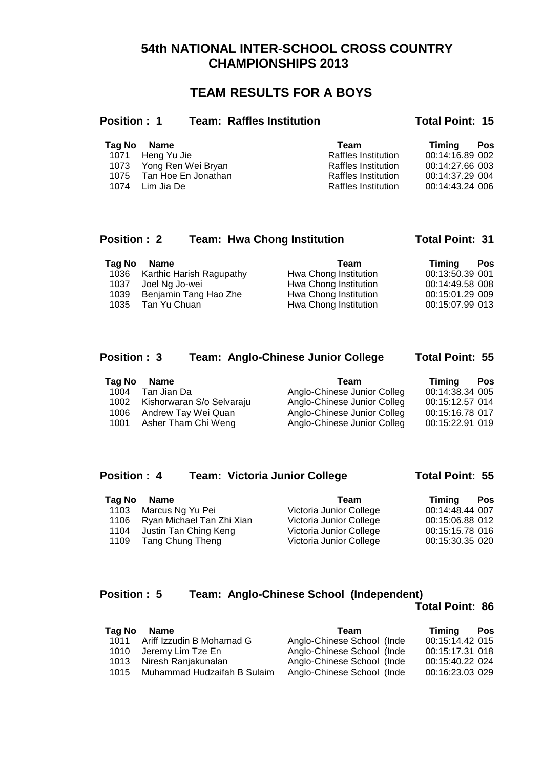## **54th NATIONAL INTER-SCHOOL CROSS COUNTRY CHAMPIONSHIPS 2013**

## **TEAM RESULTS FOR A BOYS**

| <b>Position:1</b> |             | <b>Team: Raffles Institution</b> |      | <b>Total Point: 15</b> |     |
|-------------------|-------------|----------------------------------|------|------------------------|-----|
| Tag No            | <b>Name</b> |                                  | Team | Timina                 | Pos |

|  | Tag No Name              | Team                       | <b>Timing</b> Pos |  |
|--|--------------------------|----------------------------|-------------------|--|
|  | 1071 Heng Yu Jie         | Raffles Institution        | 00:14:16.89 002   |  |
|  | 1073 Yong Ren Wei Bryan  | Raffles Institution        | 00:14:27.66 003   |  |
|  | 1075 Tan Hoe En Jonathan | <b>Raffles Institution</b> | 00:14:37.29 004   |  |
|  | 1074 Lim Jia De          | Raffles Institution        | 00:14:43.24 006   |  |
|  |                          |                            |                   |  |

## Position : 2 Team: Hwa Chong Institution Total Point: 31

| <b>Tag No</b> | Name                          | Team                  | Timina<br>Pos   |  |
|---------------|-------------------------------|-----------------------|-----------------|--|
|               | 1036 Karthic Harish Ragupathy | Hwa Chong Institution | 00:13:50.39 001 |  |
| 1037          | Joel Ng Jo-wei                | Hwa Chong Institution | 00:14:49.58 008 |  |
| 1039          | Benjamin Tang Hao Zhe         | Hwa Chong Institution | 00:15:01.29 009 |  |
| 1035          | Tan Yu Chuan                  | Hwa Chong Institution | 00:15:07.99 013 |  |
|               |                               |                       |                 |  |

## **Position : 3 Team: Anglo-Chinese Junior College Total Point: 55**

| Tag No | Name                           | Team                        | Timina          | Pos |
|--------|--------------------------------|-----------------------------|-----------------|-----|
| 1004   | Tan Jian Da                    | Anglo-Chinese Junior Colleg | 00:14:38.34 005 |     |
|        | 1002 Kishorwaran S/o Selvaraju | Anglo-Chinese Junior Colleg | 00:15:12.57 014 |     |
| 1006   | Andrew Tay Wei Quan            | Anglo-Chinese Junior Colleg | 00:15:16.78 017 |     |
|        | 1001 Asher Tham Chi Weng       | Anglo-Chinese Junior Colleg | 00:15:22.91 019 |     |

## Position : 4 Team: Victoria Junior College Total Point: 55

| Tag No | Name                           | Team                    | Timina<br><b>Pos</b> |
|--------|--------------------------------|-------------------------|----------------------|
| 1103   | Marcus Ng Yu Pei               | Victoria Junior College | 00:14:48.44 007      |
|        | 1106 Ryan Michael Tan Zhi Xian | Victoria Junior College | 00:15:06.88 012      |
| 1104   | Justin Tan Ching Keng          | Victoria Junior College | 00:15:15.78 016      |
|        | 1109 Tang Chung Theng          | Victoria Junior College | 00:15:30.35 020      |

## **Position : 5 Team: Anglo-Chinese School (Independent)**

### **Total Point: 86**

| Tag No | Name                        | Team                       | Timina          | Pos |
|--------|-----------------------------|----------------------------|-----------------|-----|
| 1011   | Ariff Izzudin B Mohamad G   | Anglo-Chinese School (Inde | 00:15:14.42 015 |     |
| 1010   | Jeremy Lim Tze En           | Anglo-Chinese School (Inde | 00:15:17.31 018 |     |
| 1013   | Niresh Ranjakunalan         | Anglo-Chinese School (Inde | 00:15:40.22 024 |     |
| 1015   | Muhammad Hudzaifah B Sulaim | Anglo-Chinese School (Inde | 00:16:23.03 029 |     |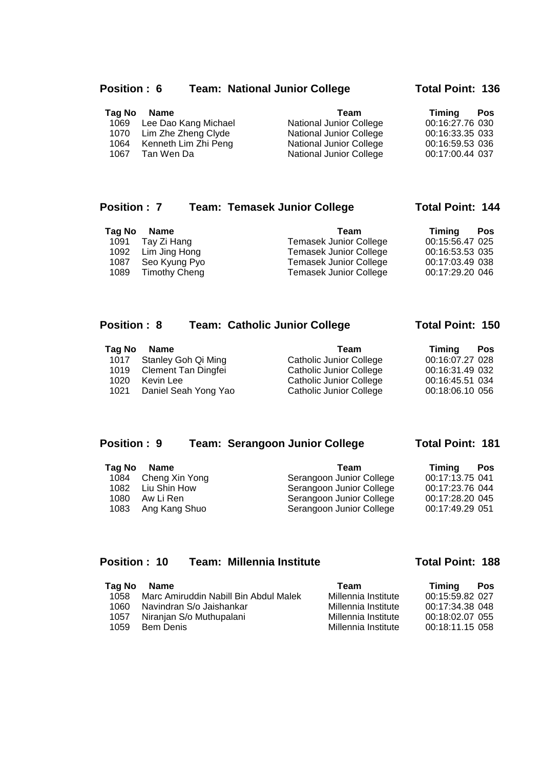### Position : 6 Team: National Junior College Total Point: 136

| Tag No | Name                      | Team                           | Timina          | <b>Pos</b> |
|--------|---------------------------|--------------------------------|-----------------|------------|
|        | 1069 Lee Dao Kang Michael | <b>National Junior College</b> | 00:16:27.76 030 |            |
|        | 1070 Lim Zhe Zheng Clyde  | <b>National Junior College</b> | 00:16:33.35 033 |            |
| 1064   | Kenneth Lim Zhi Peng      | <b>National Junior College</b> | 00:16:59.53 036 |            |
|        | 1067 Tan Wen Da           | <b>National Junior College</b> | 00:17:00.44 037 |            |

### Position : 7 Team: Temasek Junior College Total Point: 144

| Tag No | Name               | Team                          | Timina<br><b>Pos</b> |
|--------|--------------------|-------------------------------|----------------------|
|        | 1091 Tay Zi Hang   | <b>Temasek Junior College</b> | 00:15:56.47 025      |
|        | 1092 Lim Jing Hong | <b>Temasek Junior College</b> | 00:16:53.53 035      |
|        | 1087 Seo Kyung Pyo | Temasek Junior College        | 00:17:03.49 038      |
| 1089   | Timothy Cheng      | Temasek Junior College        | 00:17:29.20 046      |

### Position : 8 Team: Catholic Junior College Total Point: 150

#### **Tag No Name Team <b>Team Timing Pos**<br>1017 Stanley Goh Qi Ming **Catholic Junior College 1017 Stanley Goh Qi Ming** 1017 Stanley Goh Qi Ming Catholic Junior College 00:16:07.27 028 1019 Clement Tan Dingfei Catholic Junior College 00:16:31.49 032 1020 Kevin Lee Catholic Junior College 00:16:45.51 034 1021 Daniel Seah Yong Yao Catholic Junior College 00:18:06.10 056

### Position : 9 Team: Serangoon Junior College Total Point: 181

| Tag No | Name                | Timina<br>Team                              | <b>Pos</b> |
|--------|---------------------|---------------------------------------------|------------|
|        | 1084 Cheng Xin Yong | 00:17:13.75 041<br>Serangoon Junior College |            |
| 1082   | Liu Shin How        | 00:17:23.76 044<br>Serangoon Junior College |            |
| 1080   | Aw Li Ren           | 00:17:28.20 045<br>Serangoon Junior College |            |
| 1083   | Ang Kang Shuo       | 00:17:49.29 051<br>Serangoon Junior College |            |

## Position : 10 Team: Millennia Institute **Total Point: 188**

| Tag No | Name                                  | Team                | Timina          | Pos |
|--------|---------------------------------------|---------------------|-----------------|-----|
| 1058   | Marc Amiruddin Nabill Bin Abdul Malek | Millennia Institute | 00:15:59.82 027 |     |
| 1060   | Navindran S/o Jaishankar              | Millennia Institute | 00:17:34.38 048 |     |
| 1057   | Niranjan S/o Muthupalani              | Millennia Institute | 00:18:02.07 055 |     |
| 1059   | <b>Bem Denis</b>                      | Millennia Institute | 00:18:11.15 058 |     |
|        |                                       |                     |                 |     |